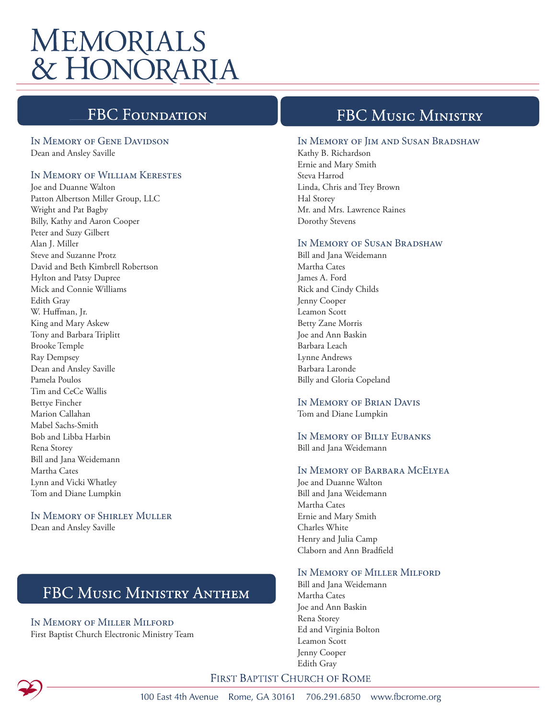# **MEMORIALS** & HONORARIA

# **FBC Foundati**

#### In Memory of Gene Davidson Dean and Ansley Saville

### In Memory of William Kerestes

Joe and Duanne Walton Patton Albertson Miller Group, LLC Wright and Pat Bagby Billy, Kathy and Aaron Cooper Peter and Suzy Gilbert Alan J. Miller Steve and Suzanne Protz David and Beth Kimbrell Robertson Hylton and Patsy Dupree Mick and Connie Williams Edith Gray W. Huffman, Jr. King and Mary Askew Tony and Barbara Triplitt Brooke Temple Ray Dempsey Dean and Ansley Saville Pamela Poulos Tim and CeCe Wallis Bettye Fincher Marion Callahan Mabel Sachs-Smith Bob and Libba Harbin Rena Storey Bill and Jana Weidemann Martha Cates Lynn and Vicki Whatley Tom and Diane Lumpkin

### In Memory of Shirley Muller

Dean and Ansley Saville

# FBC MUSIC MINISTRY ANTHEM

#### In Memory of Miller Milford First Baptist Church Electronic Ministry Team

### **FBC MUSIC MINISTRY**

#### In Memory of Jim and Susan Bradshaw

Kathy B. Richardson Ernie and Mary Smith Steva Harrod Linda, Chris and Trey Brown Hal Storey Mr. and Mrs. Lawrence Raines Dorothy Stevens

#### In Memory of Susan Bradshaw

Bill and Jana Weidemann Martha Cates James A. Ford Rick and Cindy Childs Jenny Cooper Leamon Scott Betty Zane Morris Joe and Ann Baskin Barbara Leach Lynne Andrews Barbara Laronde Billy and Gloria Copeland

In Memory of Brian Davis Tom and Diane Lumpkin

#### In Memory of Billy Eubanks Bill and Jana Weidemann

#### In Memory of Barbara McElyea

Joe and Duanne Walton Bill and Jana Weidemann Martha Cates Ernie and Mary Smith Charles White Henry and Julia Camp Claborn and Ann Bradfield

#### In Memory of Miller Milford

Bill and Jana Weidemann Martha Cates Joe and Ann Baskin Rena Storey Ed and Virginia Bolton Leamon Scott Jenny Cooper Edith Gray

### FIRST BAPTIST CHURCH OF ROME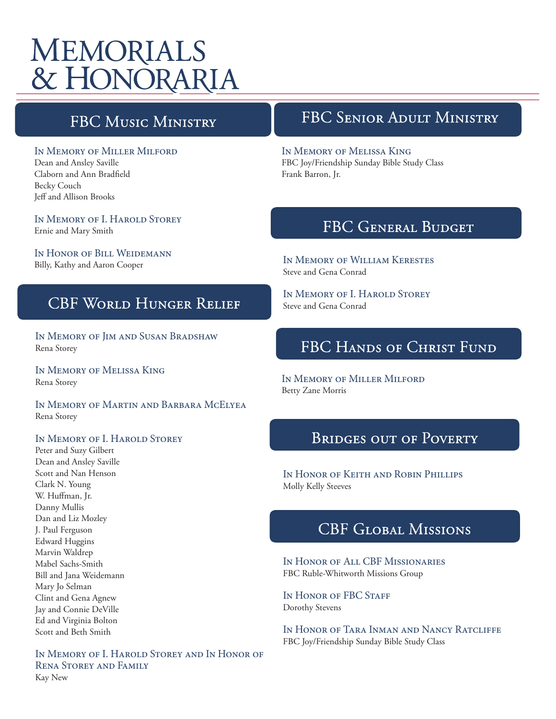# **MEMORIALS** & HONORARIA

## **FBC MUSIC MINISTRY**

### In Memory of Miller Milford

Dean and Ansley Saville Claborn and Ann Bradfield Becky Couch Jeff and Allison Brooks

In Memory of I. Harold Storey Ernie and Mary Smith

In Honor of Bill Weidemann Billy, Kathy and Aaron Cooper

### **CBF WORLD HUNGER RELIEF**

In Memory of Jim and Susan Bradshaw Rena Storey

In Memory of Melissa King Rena Storey

In Memory of Martin and Barbara McElyea Rena Storey

#### In Memory of I. Harold Storey

Peter and Suzy Gilbert Dean and Ansley Saville Scott and Nan Henson Clark N. Young W. Huffman, Jr. Danny Mullis Dan and Liz Mozley J. Paul Ferguson Edward Huggins Marvin Waldrep Mabel Sachs-Smith Bill and Jana Weidemann Mary Jo Selman Clint and Gena Agnew Jay and Connie DeVille Ed and Virginia Bolton Scott and Beth Smith

In Memory of I. Harold Storey and In Honor of Rena Storey and Family Kay New

### FBC SENIOR ADULT MINISTRY

#### In Memory of Melissa King

FBC Joy/Friendship Sunday Bible Study Class Frank Barron, Jr.

### FBC GENERAL BUDGET

In Memory of William Kerestes Steve and Gena Conrad

In Memory of I. Harold Storey Steve and Gena Conrad

# FBC HANDS OF CHRIST FUND

In Memory of Miller Milford Betty Zane Morris

### **BRIDGES OUT OF POVERTY**

In Honor of Keith and Robin Phillips Molly Kelly Steeves

## **CBF GLOBAL MISSIONS**

In Honor of All CBF Missionaries FBC Ruble-Whitworth Missions Group

IN HONOR OF FBC STAFF Dorothy Stevens

In Honor of Tara Inman and Nancy Ratcliffe FBC Joy/Friendship Sunday Bible Study Class